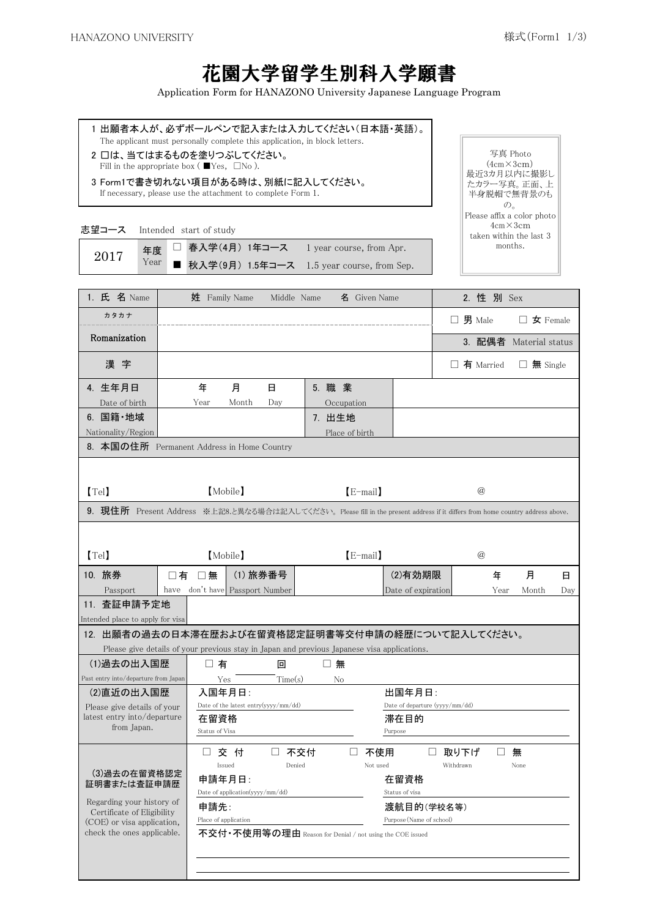## 花園大学留学生別科入学願書

Application Form for HANAZONO University Japanese Language Program

1 出願者本人が、必ずボールペンで記入または入力してください(日本語・英語)。 The applicant must personally complete this application, in block letters. 2 口は、当てはまるものを塗りつぶしてください。 Fill in the appropriate box ( $\blacksquare$ Yes,  $\square$ No ). 3 Form1で書き切れない項目がある時は、別紙に記入してください。 If necessary, please use the attachment to complete Form 1. 志望コース Intended start of study 春入学(4月) 1年コース 1 year course, from Apr. ■ 秋入学(9月) 1.5年コース 1.5 year course, from Sep. 2. 性 別 Sex 年 日 Date of birth Year Month Day Occupation 7. 出生地 Place of birth 【Tel】 【E-mail】 【Mobile】 @ 【Tel】 【E-mail】 【Mobile】 @ □ 10. 旅券 │ □ 有 □ 無 │(1)旅券番号 │ (2)有効期限 │ 年 月 日 Year Month □ 有 回 回 回 無 Yes Time(s) No 在留資格 しょうしゃ おおし 滞在目的 おおおおし □ 交 付 □ 不交付 □ 不使用 □ 取り下げ □ 無 Withdrawn None  $\emph{Date of application (yyy/mm/dd)} \label{eq:state}$ 申請先: カランチ アンチ アンチ 渡航目的(学校名等) Place of application **Purpose** (Name of school) 不交付・不使用等の理由 Reason for Denial / not using the COE issued 1. 氏 名 Name カタカナ 漢 字 4. 生年月日 年度 Year □ 5. 職 業 Romanization 写真 Photo  $(4cm \times 3cm)$ 最近3カ月以内に撮影し たカラー写真。正面、上 半身脱帽で無背景のも  $\mathcal{D}_{\circ}$ Please affix a color photo 4cm×3cm taken within the last 3 months. 2017 3. 配偶者 Material status 8. 本国の住所 Permanent Address in Home Country Month 6. 国籍・地域 Nationality/Region 月 9. 現住所 Present Address ※上記8.と異なる場合は記入してください。 Please fill in the present address if it differs from home country address above. 月 Passport have don't have Passport Number Date of expiration (2)直近の出入国歴 入国年月日: D<u>ay</u> 11. 査証申請予定地 Intended place to apply for visa 12. 出願者の過去の日本滞在歴および在留資格認定証明書等交付申請の経歴について記入してください。 Please give details of your previous stay in Japan and previous Japanese visa applications. 出国年月日: 在留資格 Regarding your history of Certificate of Eligibility (COE) or visa application, check the ones applicable. □ 不使用 (3)過去の在留資格認定 証明書または査証申請歴 Issued Denied Not used 申請年月日: Please give details of your latest entry into/departure from Japan. 姓 Family Name Middle Name 名 Given Name □ □ 有 Married □ 無 Single □ 男 Male □ 女 Female  $\begin{minipage}[c]{0.9\linewidth} \textbf{Date of the latest entry}(yyyy/mm/dd) \end{minipage} \begin{minipage}[c]{0.9\linewidth} \textbf{Date of departure (yyyy/mm/dd)} \end{minipage}$ Status of Visa Purpose (1) 過去の出入国歴 Past entry into/departure from Japan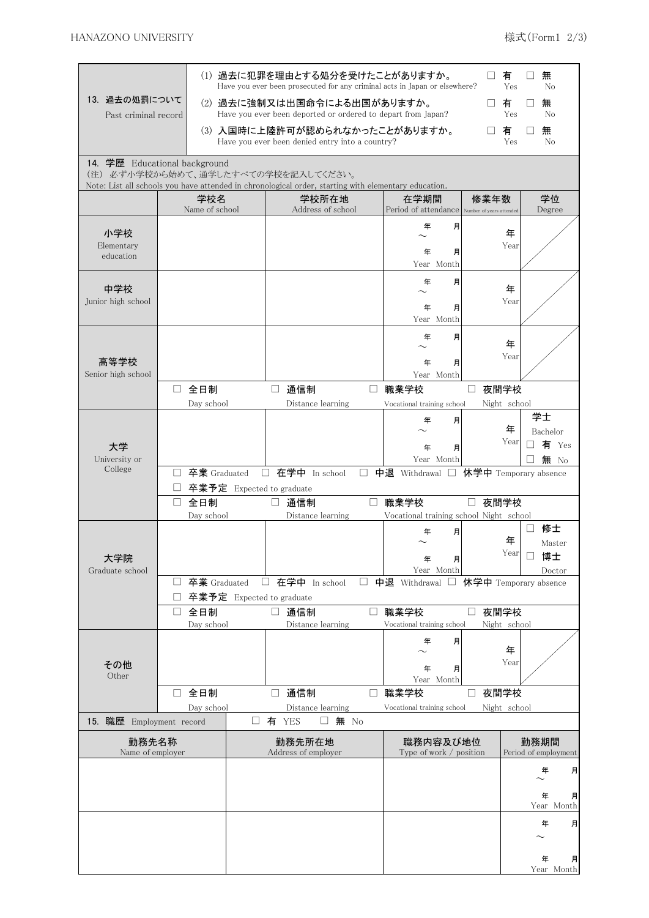| (1) 過去に犯罪を理由とする処分を受けたことがありますか。<br>有<br>$\vert \ \ \vert$<br>Have you ever been prosecuted for any criminal acts in Japan or elsewhere?<br>Yes<br>13. 過去の処罰について<br>(2) 過去に強制又は出国命令による出国がありますか。<br>有<br>□<br>Have you ever been deported or ordered to depart from Japan?<br>Yes<br>Past criminal record |                                         |                           |                                                 |                  |                                                       |                                | 無<br>No<br>無<br>No                   |
|--------------------------------------------------------------------------------------------------------------------------------------------------------------------------------------------------------------------------------------------------------------------------------------------------------|-----------------------------------------|---------------------------|-------------------------------------------------|------------------|-------------------------------------------------------|--------------------------------|--------------------------------------|
|                                                                                                                                                                                                                                                                                                        |                                         |                           | Have you ever been denied entry into a country? |                  | (3) 入国時に上陸許可が認められなかったことがありますか。                        | 有<br>⊔<br>Yes                  | 無<br>$\Box$<br>No                    |
| 14. 学歴 Educational background<br>(注) 必ず小学校から始めて、通学したすべての学校を記入してください。<br>Note: List all schools you have attended in chronological order, starting with elementary education.                                                                                                                           |                                         |                           |                                                 |                  |                                                       |                                |                                      |
|                                                                                                                                                                                                                                                                                                        | 学校名<br>Name of school                   |                           | 学校所在地<br>Address of school                      |                  | 在学期間<br>Period of attendance Number of years attended | 修業年数                           | 学位<br>Degree                         |
| 小学校<br>Elementary<br>education                                                                                                                                                                                                                                                                         |                                         |                           |                                                 |                  | 年<br>月<br>年<br>月<br>Year Month                        | 年<br>Year                      |                                      |
| 中学校<br>Junior high school                                                                                                                                                                                                                                                                              |                                         |                           |                                                 |                  | 月<br>年<br>年<br>月<br>Year Month                        | 年<br>Year                      |                                      |
| 高等学校<br>Senior high school                                                                                                                                                                                                                                                                             |                                         |                           |                                                 |                  | 年<br>月<br>年<br>月                                      | 年<br>Year                      |                                      |
|                                                                                                                                                                                                                                                                                                        | 全日制<br>$\Box$<br>Day school             | $\Box$                    | 通信制<br>Distance learning                        | $\Box$           | Year Month<br>職業学校<br>Vocational training school      | 夜間学校<br>⊔<br>Night school      |                                      |
| 大学<br>University or                                                                                                                                                                                                                                                                                    |                                         |                           |                                                 |                  | 月<br>年<br>年<br>月<br>Year Month                        | 年<br>Year                      | 学士<br>Bachelor<br>有 Yes<br>П<br>無 No |
| College                                                                                                                                                                                                                                                                                                | 卒業 Graduated<br>$\Box$<br>全日制<br>$\Box$ | 卒業予定 Expected to graduate | □ 在学中 In school<br>□ 通信制                        | $\Box$<br>$\Box$ | 中退 Withdrawal □ 休学中 Temporary absence<br>職業学校         | 夜間学校<br>$\Box$                 |                                      |
|                                                                                                                                                                                                                                                                                                        | Day school                              |                           | Distance learning                               |                  | Vocational training school Night school<br>月<br>年     |                                | 修士                                   |
| 大学院<br>Graduate school                                                                                                                                                                                                                                                                                 |                                         |                           |                                                 |                  | 年<br>月<br>Year Month                                  | 年<br>Year                      | Master<br>博士<br>Doctor               |
|                                                                                                                                                                                                                                                                                                        | 卒業 Graduated<br>⊔                       | 卒業予定 Expected to graduate | □ 在学中 In school                                 | $\Box$           | 中退 Withdrawal □ 休学中 Temporary absence                 |                                |                                      |
|                                                                                                                                                                                                                                                                                                        | 全日制<br>□<br>Day school                  | $\Box$                    | 通信制<br>Distance learning                        | $\Box$           | 職業学校<br>Vocational training school                    | 夜間学校<br>$\Box$<br>Night school |                                      |
| その他<br>Other                                                                                                                                                                                                                                                                                           |                                         |                           |                                                 |                  | 年<br>月<br>月<br>年<br>Year Month                        | 年<br>Year                      |                                      |
|                                                                                                                                                                                                                                                                                                        | □ 全日制<br>Day school                     | $\Box$                    | 通信制<br>Distance learning                        | $\Box$           | 職業学校<br>Vocational training school                    | 夜間学校<br>⊔<br>Night school      |                                      |
| 15. 職歴 Employment record                                                                                                                                                                                                                                                                               |                                         | 有 YES<br>⊔                | 無 No<br>$\Box$                                  |                  |                                                       |                                |                                      |
| 勤務先名称<br>Name of employer                                                                                                                                                                                                                                                                              |                                         |                           | 勤務先所在地<br>Address of employer                   |                  | 職務内容及び地位<br>Type of work / position                   |                                | 勤務期間<br>Period of employment         |
|                                                                                                                                                                                                                                                                                                        |                                         |                           |                                                 |                  |                                                       |                                | 年<br>月                               |
|                                                                                                                                                                                                                                                                                                        |                                         |                           |                                                 |                  |                                                       |                                | 年<br>月<br>Year Month                 |
|                                                                                                                                                                                                                                                                                                        |                                         |                           |                                                 |                  |                                                       |                                | 年<br>月                               |
|                                                                                                                                                                                                                                                                                                        |                                         |                           |                                                 |                  |                                                       |                                | 年<br>月<br>Year Month                 |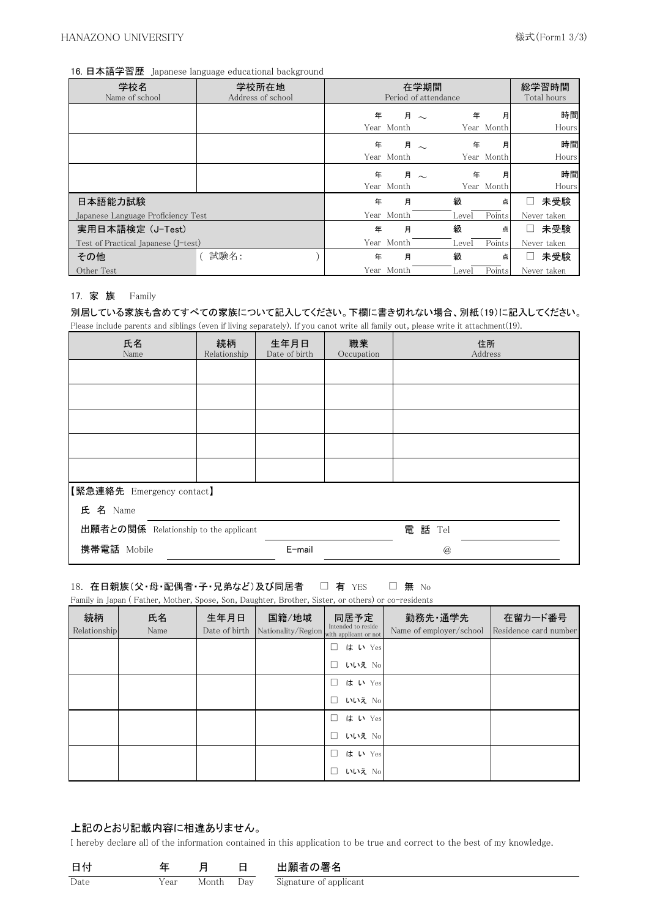### 16. 日本語学習歴 Japanese language educational background

| 学校名<br>Name of school               | 学校所在地<br>Address of school |   | Period of attendance | 在学期間 |       |            | 総学習時間<br>Total hours |
|-------------------------------------|----------------------------|---|----------------------|------|-------|------------|----------------------|
|                                     |                            | 年 |                      | 月~   | 年     | 月          | 時間                   |
|                                     |                            |   | Year Month           |      |       | Year Month | Hours                |
|                                     |                            | 年 |                      | 月~   | 年     | 月          | 時間                   |
|                                     |                            |   | Year Month           |      |       | Year Month | Hours                |
|                                     |                            | 年 |                      | 月~   | 年     | 月          | 時間                   |
|                                     |                            |   | Year Month           |      |       | Year Month | Hours                |
| 日本語能力試験                             |                            | 年 | 月                    |      | 級     | 点          | 未受験<br>ப             |
| Japanese Language Proficiency Test  |                            |   | Year Month           |      | Level | Points     | Never taken          |
| 実用日本語検定 (J-Test)                    |                            | 年 | 月                    |      | 級     | 点          | 未受験<br>$\mathsf{L}$  |
| Test of Practical Japanese (J-test) |                            |   | Year Month           |      | Level | Points     | Never taken          |
| その他                                 | 試験名:                       | 年 | 月                    |      | 級     | 点          | 未受験<br>ப             |
| Other Test                          |                            |   | Year Month           |      | Level | Points     | Never taken          |

#### 17. 家 族 Family

別居している家族も含めてすべての家族について記入してください。下欄に書き切れない場合、別紙(19)に記入してください。 Please include parents and siblings (even if living separately). If you canot write all family out, please write it attachment(19).

| 氏名<br>Name                                      | 続柄<br>Relationship | 生年月日<br>Date of birth | 職業<br>Occupation | 住所<br>Address |  |  |  |  |
|-------------------------------------------------|--------------------|-----------------------|------------------|---------------|--|--|--|--|
|                                                 |                    |                       |                  |               |  |  |  |  |
|                                                 |                    |                       |                  |               |  |  |  |  |
|                                                 |                    |                       |                  |               |  |  |  |  |
|                                                 |                    |                       |                  |               |  |  |  |  |
|                                                 |                    |                       |                  |               |  |  |  |  |
| 【緊急連絡先 Emergency contact】                       |                    |                       |                  |               |  |  |  |  |
| 氏 名 Name                                        |                    |                       |                  |               |  |  |  |  |
| 出願者との関係 Relationship to the applicant<br>電話 Tel |                    |                       |                  |               |  |  |  |  |
| 携帯電話 Mobile                                     |                    | E-mail                |                  | $\circleda$   |  |  |  |  |

#### 18. 在日親族(父・母・配偶者・子・兄弟など)及び同居者 □ 有 YES □ 無 No □ 有 YES

Family in Japan ( Father, Mother, Spose, Son, Daughter, Brother, Sister, or others) or co-residents

| 続柄<br>Relationship | 氏名<br>Name | 生年月日<br>Date of birth | 国籍/地域<br>Nationality/Region | 同居予定<br>Intended to reside<br>with applicant or not | 勤務先·通学先<br>Name of employer/school | 在留カード番号<br>Residence card number |
|--------------------|------------|-----------------------|-----------------------------|-----------------------------------------------------|------------------------------------|----------------------------------|
|                    |            |                       |                             | はい Yes<br>$\Box$<br>いいえ No<br>$\Box$                |                                    |                                  |
|                    |            |                       |                             | はい Yes<br>П                                         |                                    |                                  |
|                    |            |                       |                             | いいえ No<br>П<br>はい Yes<br>$\mathbf{L}$               |                                    |                                  |
|                    |            |                       |                             | いいえ No<br>П                                         |                                    |                                  |
|                    |            |                       |                             | п<br>はい Yes                                         |                                    |                                  |
|                    |            |                       |                             | いいえ No<br>П                                         |                                    |                                  |

### 上記のとおり記載内容に相違ありません。

I hereby declare all of the information contained in this application to be true and correct to the best of my knowledge.

| 日付   |      |       |     | 出願者の署名                 |
|------|------|-------|-----|------------------------|
| Date | Year | Month | Day | Signature of applicant |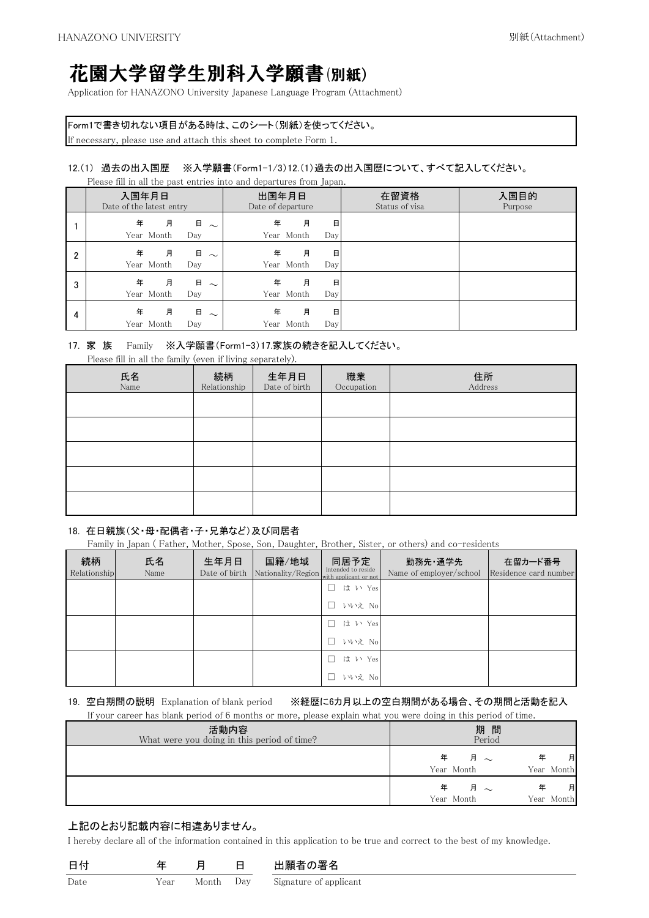# 花園大学留学生別科入学願書(別紙)

Application for HANAZONO University Japanese Language Program (Attachment)

Form1で書き切れない項目がある時は、このシート(別紙)を使ってください。

If necessary, please use and attach this sheet to complete Form 1.

### 12.(1) 過去の出入国歴 ※入学願書(Form1-1/3)12.(1)過去の出入国歴について、すべて記入してください。

Please fill in all the past entries into and departures from Japan.

|   | 入国年月日<br>Date of the latest entry |                    | 出国年月日<br>Date of departure |                 |          | 在留資格<br>Status of visa | 入国目的<br>Purpose |
|---|-----------------------------------|--------------------|----------------------------|-----------------|----------|------------------------|-----------------|
|   | 年<br>月<br>Year Month              | 日<br>$\sim$<br>Day | 年                          | 月<br>Year Month | 日<br>Day |                        |                 |
| 2 | 年<br>月<br>Year Month              | 日<br>$\sim$<br>Day | 年                          | 月<br>Year Month | 日<br>Day |                        |                 |
| 3 | 月<br>年<br>Year Month              | 日<br>$\sim$<br>Day | 年                          | 月<br>Year Month | 日<br>Day |                        |                 |
| 4 | 年<br>月<br>Year Month              | 日<br>$\sim$<br>Day | 年                          | 月<br>Year Month | 日<br>Day |                        |                 |

### 17. 家 族 Family ※入学願書(Form1-3)17.家族の続きを記入してください。

Please fill in all the family (even if living separately).

| 氏名<br>Name | 続柄<br>Relationship | 生年月日<br>Date of birth | 職業<br>Occupation | 住所<br>Address |
|------------|--------------------|-----------------------|------------------|---------------|
|            |                    |                       |                  |               |
|            |                    |                       |                  |               |
|            |                    |                       |                  |               |
|            |                    |                       |                  |               |
|            |                    |                       |                  |               |

### 18. 在日親族(父・母・配偶者・子・兄弟など)及び同居者

Family in Japan (Father, Mother, Spose, Son, Daughter, Brother, Sister, or others) and co-residents

| 続柄<br>Relationship | 氏名<br>Name | 生年月日<br>Date of birth | 国籍/地域<br>Nationality/Region with applicant or not | 同居予定<br>Intended to reside | 勤務先·通学先<br>Name of employer/school | 在留カード番号<br>Residence card number |
|--------------------|------------|-----------------------|---------------------------------------------------|----------------------------|------------------------------------|----------------------------------|
|                    |            |                       |                                                   | は い Yes                    |                                    |                                  |
|                    |            |                       |                                                   | いいえ No                     |                                    |                                  |
|                    |            |                       |                                                   | は い Yes                    |                                    |                                  |
|                    |            |                       |                                                   | いいえ No                     |                                    |                                  |
|                    |            |                       |                                                   | は い Yes                    |                                    |                                  |
|                    |            |                       |                                                   | いいえ No                     |                                    |                                  |

19. 空白期間の説明 Explanation of blank period ※経歴に6カ月以上の空白期間がある場合、その期間と活動を記入 If your career has blank period of 6 months or more, please explain what you were doing in this period of time.

| If your career has shame perfou or o monthle or more; prease explain what you were aoing in this perfou or three |                                           |
|------------------------------------------------------------------------------------------------------------------|-------------------------------------------|
| 活動内容<br>What were you doing in this period of time?                                                              | 期間<br>Period                              |
|                                                                                                                  | 月~<br>月<br>年<br>Year Month<br>Year Month  |
|                                                                                                                  | 月 $\sim$<br>月<br>Year Month<br>Year Month |

### 上記のとおり記載内容に相違ありません。

I hereby declare all of the information contained in this application to be true and correct to the best of my knowledge.

|      |      |       |     | 出願者の署名                 |
|------|------|-------|-----|------------------------|
| Date | Year | Month | Dav | Signature of applicant |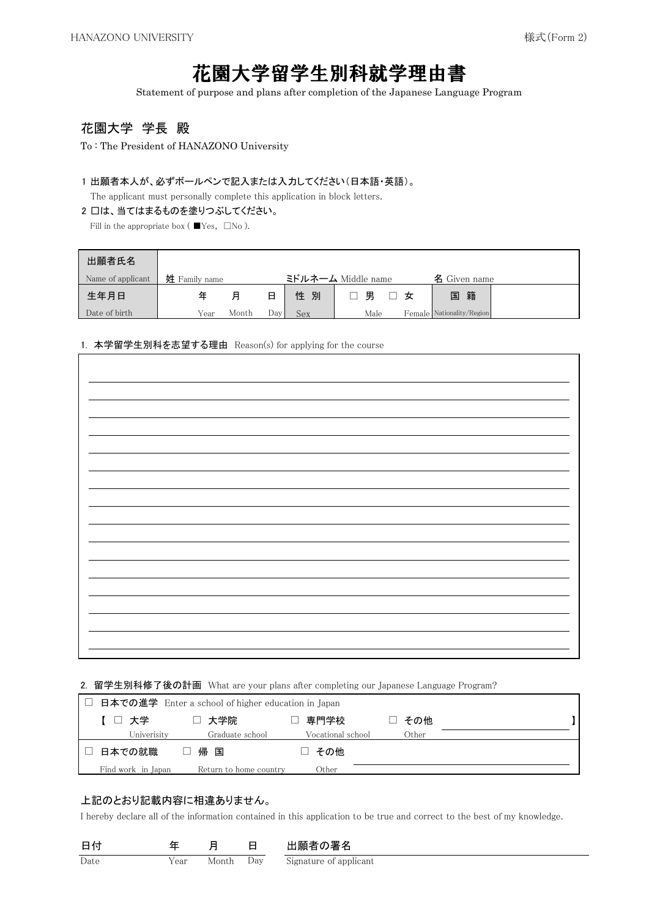# 花園大学留学生別科就学理由書

Statement of purpose and plans after completion of the Japanese Language Program

### 花園大学 学長 殿

To : The President of HANAZONO University

### 1 出願者本人が、必ずボールペンで記入または入力してください(日本語・英語)。

The applicant must personally complete this application in block letters.

### 2 口は、当てはまるものを塗りつぶしてください。

Fill in the appropriate box ( $\blacksquare$ Yes,  $\square$ No ).

| 出願者氏名             |               |       |      |        |                    |                           |  |
|-------------------|---------------|-------|------|--------|--------------------|---------------------------|--|
| Name of applicant | 姓 Family name |       |      |        | ミドルネーム Middle name | 名 Given name              |  |
| 生年月日              | 年             | 月     | 日    | 性<br>別 | 男<br>女             | 国籍                        |  |
| Date of birth     | Year          | Month | Dav' | Sex    | Male               | Female Nationality/Region |  |

### 1. 本学留学生別科を志望する理由 Reason(s) for applying for the course

### 2. 留学生別科修了後の計画 What are your plans after completing our Japanese Language Program?

|                    | 日本での進学 Enter a school of higher education in Japan |                   |       |  |
|--------------------|----------------------------------------------------|-------------------|-------|--|
| 【 □ 大学             | □ 大学院                                              | 専門学校              | その他   |  |
| Univerisity        | Graduate school                                    | Vocational school | Other |  |
| 日本での就職             | 帰 国                                                | □ その他             |       |  |
| Find work in Japan | Return to home country                             | Other             |       |  |

### 上記のとおり記載内容に相違ありません。

I hereby declare all of the information contained in this application to be true and correct to the best of my knowledge.

|      |      |       |     | 出願者の署名                 |
|------|------|-------|-----|------------------------|
| Date | Year | Month | Dav | Signature of applicant |